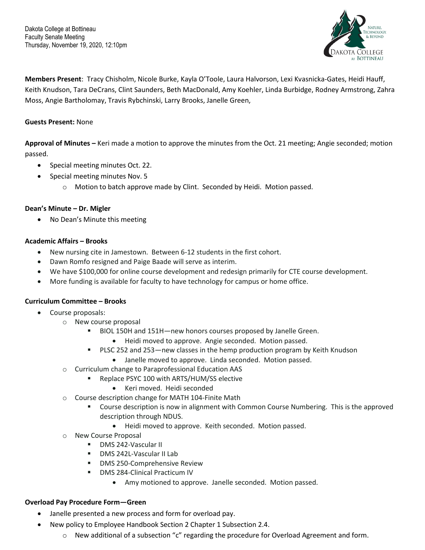Dakota College at Bottineau Faculty Senate Meeting Thursday, November 19, 2020, 12:10pm



**Members Present**: Tracy Chisholm, Nicole Burke, Kayla O'Toole, Laura Halvorson, Lexi Kvasnicka-Gates, Heidi Hauff, Keith Knudson, Tara DeCrans, Clint Saunders, Beth MacDonald, Amy Koehler, Linda Burbidge, Rodney Armstrong, Zahra Moss, Angie Bartholomay, Travis Rybchinski, Larry Brooks, Janelle Green,

## **Guests Present:** None

**Approval of Minutes –** Keri made a motion to approve the minutes from the Oct. 21 meeting; Angie seconded; motion passed.

- Special meeting minutes Oct. 22.
- Special meeting minutes Nov. 5
	- o Motion to batch approve made by Clint. Seconded by Heidi. Motion passed.

### **Dean's Minute – Dr. Migler**

• No Dean's Minute this meeting

### **Academic Affairs – Brooks**

- New nursing cite in Jamestown. Between 6-12 students in the first cohort.
- Dawn Romfo resigned and Paige Baade will serve as interim.
- We have \$100,000 for online course development and redesign primarily for CTE course development.
- More funding is available for faculty to have technology for campus or home office.

### **Curriculum Committee – Brooks**

- Course proposals:
	- o New course proposal
		- BIOL 150H and 151H—new honors courses proposed by Janelle Green.
			- Heidi moved to approve. Angie seconded. Motion passed.
		- PLSC 252 and 253—new classes in the hemp production program by Keith Knudson
			- Janelle moved to approve. Linda seconded. Motion passed.
	- o Curriculum change to Paraprofessional Education AAS
		- **Replace PSYC 100 with ARTS/HUM/SS elective** 
			- Keri moved. Heidi seconded
	- o Course description change for MATH 104-Finite Math
		- **Course description is now in alignment with Common Course Numbering. This is the approved** description through NDUS.
			- Heidi moved to approve. Keith seconded. Motion passed.
	- o New Course Proposal
		- **DMS 242-Vascular II**
		- DMS 242L-Vascular II Lab
		- **DMS 250-Comprehensive Review**
		- **DMS 284-Clinical Practicum IV** 
			- Amy motioned to approve. Janelle seconded. Motion passed.

#### **Overload Pay Procedure Form—Green**

- Janelle presented a new process and form for overload pay.
- New policy to Employee Handbook Section 2 Chapter 1 Subsection 2.4.
	- o New additional of a subsection "c" regarding the procedure for Overload Agreement and form.